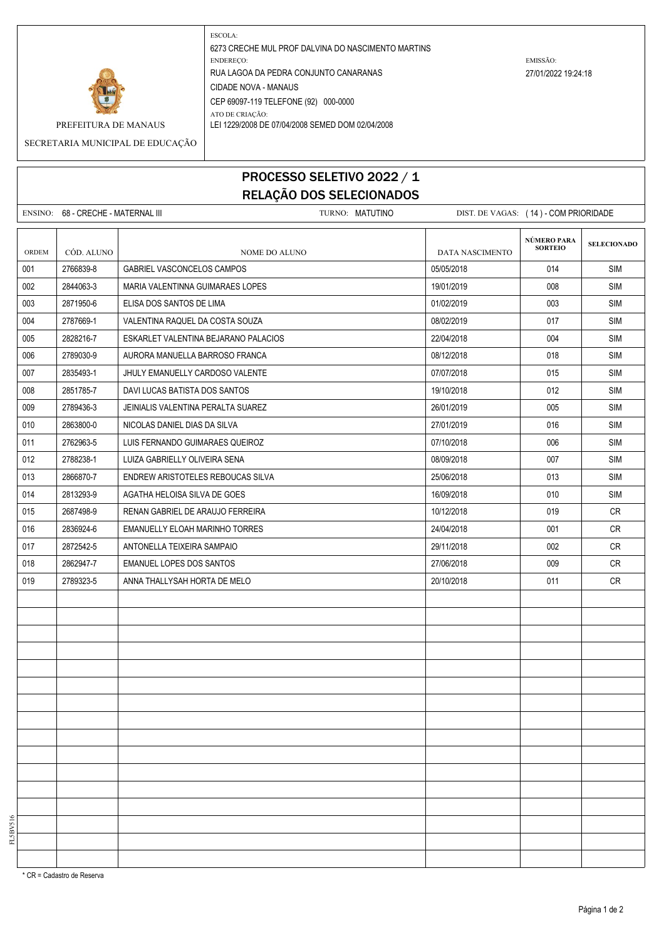

ESCOLA: 6273 CRECHE MUL PROF DALVINA DO NASCIMENTO MARTINS ENDEREÇO: EMISSÃO: RUA LAGOA DA PEDRA CONJUNTO CANARANAS 27/01/2022 19:24:18 CIDADE NOVA - MANAUS CEP 69097-119 TELEFONE (92) 000-0000 ATO DE CRIAÇÃO: PREFEITURA DE MANAUS LEI 1229/2008 DE 07/04/2008 SEMED DOM 02/04/2008

SECRETARIA MUNICIPAL DE EDUCAÇÃO

## PROCESSO SELETIVO 2022 / 1 RELAÇÃO DOS SELECIONADOS

|       | ENSINO: 68 - CRECHE - MATERNAL III | TURNO: MATUTINO                      |                 | DIST. DE VAGAS: (14) - COM PRIORIDADE |                    |  |
|-------|------------------------------------|--------------------------------------|-----------------|---------------------------------------|--------------------|--|
| ORDEM | CÓD. ALUNO                         | NOME DO ALUNO                        | DATA NASCIMENTO | NÚMERO PARA<br><b>SORTEIO</b>         | <b>SELECIONADO</b> |  |
| 001   | 2766839-8                          | GABRIEL VASCONCELOS CAMPOS           | 05/05/2018      | 014                                   | <b>SIM</b>         |  |
| 002   | 2844063-3                          | MARIA VALENTINNA GUIMARAES LOPES     | 19/01/2019      | 008                                   | <b>SIM</b>         |  |
| 003   | 2871950-6                          | ELISA DOS SANTOS DE LIMA             | 01/02/2019      | 003                                   | <b>SIM</b>         |  |
| 004   | 2787669-1                          | VALENTINA RAQUEL DA COSTA SOUZA      | 08/02/2019      | 017                                   | SIM                |  |
| 005   | 2828216-7                          | ESKARLET VALENTINA BEJARANO PALACIOS | 22/04/2018      | 004                                   | <b>SIM</b>         |  |
| 006   | 2789030-9                          | AURORA MANUELLA BARROSO FRANCA       | 08/12/2018      | 018                                   | <b>SIM</b>         |  |
| 007   | 2835493-1                          | JHULY EMANUELLY CARDOSO VALENTE      | 07/07/2018      | 015                                   | <b>SIM</b>         |  |
| 008   | 2851785-7                          | DAVI LUCAS BATISTA DOS SANTOS        | 19/10/2018      | 012                                   | <b>SIM</b>         |  |
| 009   | 2789436-3                          | JEINIALIS VALENTINA PERALTA SUAREZ   | 26/01/2019      | 005                                   | SIM                |  |
| 010   | 2863800-0                          | NICOLAS DANIEL DIAS DA SILVA         | 27/01/2019      | 016                                   | <b>SIM</b>         |  |
| 011   | 2762963-5                          | LUIS FERNANDO GUIMARAES QUEIROZ      | 07/10/2018      | 006                                   | SIM                |  |
| 012   | 2788238-1                          | LUIZA GABRIELLY OLIVEIRA SENA        | 08/09/2018      | 007                                   | <b>SIM</b>         |  |
| 013   | 2866870-7                          | ENDREW ARISTOTELES REBOUCAS SILVA    | 25/06/2018      | 013                                   | <b>SIM</b>         |  |
| 014   | 2813293-9                          | AGATHA HELOISA SILVA DE GOES         | 16/09/2018      | 010                                   | SIM                |  |
| 015   | 2687498-9                          | RENAN GABRIEL DE ARAUJO FERREIRA     | 10/12/2018      | 019                                   | <b>CR</b>          |  |
| 016   | 2836924-6                          | EMANUELLY ELOAH MARINHO TORRES       | 24/04/2018      | 001                                   | <b>CR</b>          |  |
| 017   | 2872542-5                          | ANTONELLA TEIXEIRA SAMPAIO           | 29/11/2018      | 002                                   | CR                 |  |
| 018   | 2862947-7                          | EMANUEL LOPES DOS SANTOS             | 27/06/2018      | 009                                   | <b>CR</b>          |  |
| 019   | 2789323-5                          | ANNA THALLYSAH HORTA DE MELO         | 20/10/2018      | 011                                   | CR                 |  |
|       |                                    |                                      |                 |                                       |                    |  |
|       |                                    |                                      |                 |                                       |                    |  |
|       |                                    |                                      |                 |                                       |                    |  |
|       |                                    |                                      |                 |                                       |                    |  |
|       |                                    |                                      |                 |                                       |                    |  |
|       |                                    |                                      |                 |                                       |                    |  |
|       |                                    |                                      |                 |                                       |                    |  |
|       |                                    |                                      |                 |                                       |                    |  |
|       |                                    |                                      |                 |                                       |                    |  |
|       |                                    |                                      |                 |                                       |                    |  |
|       |                                    |                                      |                 |                                       |                    |  |
|       |                                    |                                      |                 |                                       |                    |  |
|       |                                    |                                      |                 |                                       |                    |  |
|       |                                    |                                      |                 |                                       |                    |  |
|       |                                    |                                      |                 |                                       |                    |  |
|       |                                    |                                      |                 |                                       |                    |  |

\* CR = Cadastro de Reserva

FL5BV516